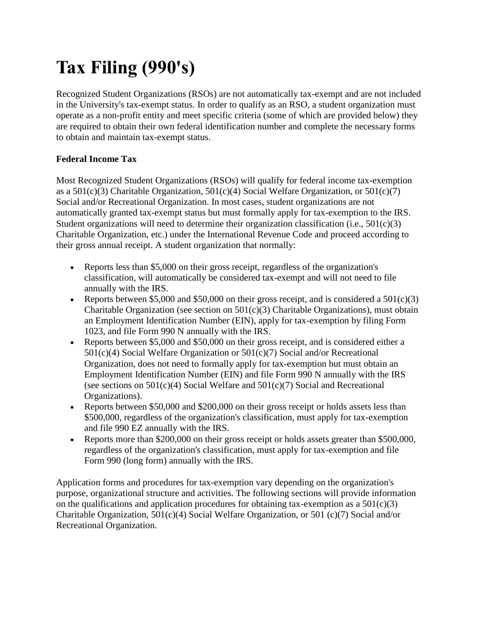# **Tax Filing (990's)**

Recognized Student Organizations (RSOs) are not automatically tax-exempt and are not included in the University's tax-exempt status. In order to qualify as an RSO, a student organization must operate as a non-profit entity and meet specific criteria (some of which are provided below) they are required to obtain their own federal identification number and complete the necessary forms to obtain and maintain tax-exempt status.

## **Federal Income Tax**

Most Recognized Student Organizations (RSOs) will qualify for federal income tax-exemption as a  $501(c)(3)$  Charitable Organization,  $501(c)(4)$  Social Welfare Organization, or  $501(c)(7)$ Social and/or Recreational Organization. In most cases, student organizations are not automatically granted tax-exempt status but must formally apply for tax-exemption to the IRS. Student organizations will need to determine their organization classification (i.e., 501(c)(3) Charitable Organization, etc.) under the International Revenue Code and proceed according to their gross annual receipt. A student organization that normally:

- Reports less than \$5,000 on their gross receipt, regardless of the organization's classification, will automatically be considered tax-exempt and will not need to file annually with the IRS.
- Reports between \$5,000 and \$50,000 on their gross receipt, and is considered a  $501(c)(3)$ Charitable Organization (see section on  $501(c)(3)$  Charitable Organizations), must obtain an Employment Identification Number (EIN), apply for tax-exemption by filing Form 1023, and file Form 990 N annually with the IRS.
- Reports between \$5,000 and \$50,000 on their gross receipt, and is considered either a 501(c)(4) Social Welfare Organization or 501(c)(7) Social and/or Recreational Organization, does not need to formally apply for tax-exemption but must obtain an Employment Identification Number (EIN) and file Form 990 N annually with the IRS (see sections on  $501(c)(4)$  Social Welfare and  $501(c)(7)$  Social and Recreational Organizations).
- Reports between \$50,000 and \$200,000 on their gross receipt or holds assets less than \$500,000, regardless of the organization's classification, must apply for tax-exemption and file 990 EZ annually with the IRS.
- Reports more than \$200,000 on their gross receipt or holds assets greater than \$500,000, regardless of the organization's classification, must apply for tax-exemption and file Form 990 (long form) annually with the IRS.

Application forms and procedures for tax-exemption vary depending on the organization's purpose, organizational structure and activities. The following sections will provide information on the qualifications and application procedures for obtaining tax-exemption as a  $501(c)(3)$ Charitable Organization, 501(c)(4) Social Welfare Organization, or 501 (c)(7) Social and/or Recreational Organization.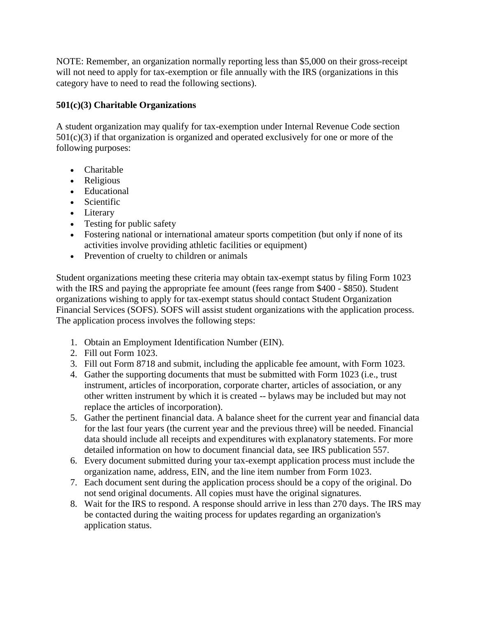NOTE: Remember, an organization normally reporting less than \$5,000 on their gross-receipt will not need to apply for tax-exemption or file annually with the IRS (organizations in this category have to need to read the following sections).

#### **501(c)(3) Charitable Organizations**

A student organization may qualify for tax-exemption under Internal Revenue Code section  $501(c)(3)$  if that organization is organized and operated exclusively for one or more of the following purposes:

- Charitable
- Religious
- Educational
- Scientific
- Literary
- Testing for public safety
- Fostering national or international amateur sports competition (but only if none of its activities involve providing athletic facilities or equipment)
- Prevention of cruelty to children or animals

Student organizations meeting these criteria may obtain tax-exempt status by filing Form 1023 with the IRS and paying the appropriate fee amount (fees range from \$400 - \$850). Student organizations wishing to apply for tax-exempt status should contact Student Organization Financial Services (SOFS). SOFS will assist student organizations with the application process. The application process involves the following steps:

- 1. Obtain an Employment Identification Number (EIN).
- 2. Fill out Form 1023.
- 3. Fill out Form 8718 and submit, including the applicable fee amount, with Form 1023.
- 4. Gather the supporting documents that must be submitted with Form 1023 (i.e., trust instrument, articles of incorporation, corporate charter, articles of association, or any other written instrument by which it is created -- bylaws may be included but may not replace the articles of incorporation).
- 5. Gather the pertinent financial data. A balance sheet for the current year and financial data for the last four years (the current year and the previous three) will be needed. Financial data should include all receipts and expenditures with explanatory statements. For more detailed information on how to document financial data, see IRS publication 557.
- 6. Every document submitted during your tax-exempt application process must include the organization name, address, EIN, and the line item number from Form 1023.
- 7. Each document sent during the application process should be a copy of the original. Do not send original documents. All copies must have the original signatures.
- 8. Wait for the IRS to respond. A response should arrive in less than 270 days. The IRS may be contacted during the waiting process for updates regarding an organization's application status.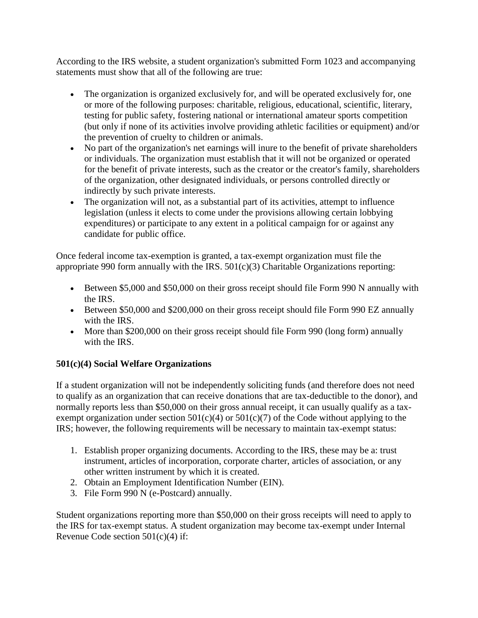According to the IRS website, a student organization's submitted Form 1023 and accompanying statements must show that all of the following are true:

- The organization is organized exclusively for, and will be operated exclusively for, one or more of the following purposes: charitable, religious, educational, scientific, literary, testing for public safety, fostering national or international amateur sports competition (but only if none of its activities involve providing athletic facilities or equipment) and/or the prevention of cruelty to children or animals.
- No part of the organization's net earnings will inure to the benefit of private shareholders or individuals. The organization must establish that it will not be organized or operated for the benefit of private interests, such as the creator or the creator's family, shareholders of the organization, other designated individuals, or persons controlled directly or indirectly by such private interests.
- The organization will not, as a substantial part of its activities, attempt to influence legislation (unless it elects to come under the provisions allowing certain lobbying expenditures) or participate to any extent in a political campaign for or against any candidate for public office.

Once federal income tax-exemption is granted, a tax-exempt organization must file the appropriate 990 form annually with the IRS. 501(c)(3) Charitable Organizations reporting:

- Between \$5,000 and \$50,000 on their gross receipt should file Form 990 N annually with the IRS.
- Between \$50,000 and \$200,000 on their gross receipt should file Form 990 EZ annually with the IRS.
- More than \$200,000 on their gross receipt should file Form 990 (long form) annually with the IRS.

## **501(c)(4) Social Welfare Organizations**

If a student organization will not be independently soliciting funds (and therefore does not need to qualify as an organization that can receive donations that are tax-deductible to the donor), and normally reports less than \$50,000 on their gross annual receipt, it can usually qualify as a taxexempt organization under section  $501(c)(4)$  or  $501(c)(7)$  of the Code without applying to the IRS; however, the following requirements will be necessary to maintain tax-exempt status:

- 1. Establish proper organizing documents. According to the IRS, these may be a: trust instrument, articles of incorporation, corporate charter, articles of association, or any other written instrument by which it is created.
- 2. Obtain an Employment Identification Number (EIN).
- 3. File Form 990 N (e-Postcard) annually.

Student organizations reporting more than \$50,000 on their gross receipts will need to apply to the IRS for tax-exempt status. A student organization may become tax-exempt under Internal Revenue Code section 501(c)(4) if: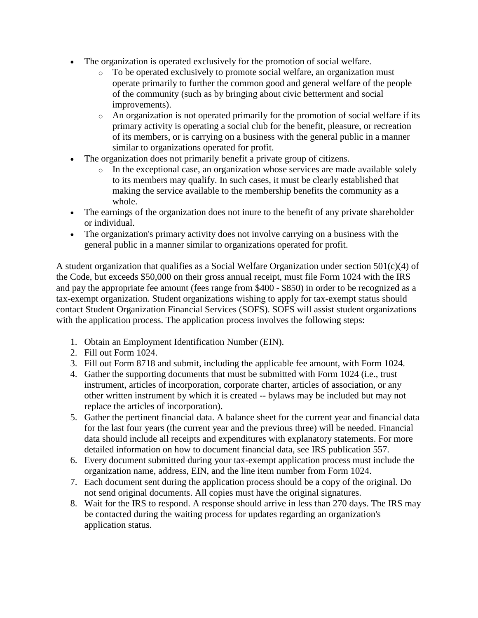- The organization is operated exclusively for the promotion of social welfare.
	- o To be operated exclusively to promote social welfare, an organization must operate primarily to further the common good and general welfare of the people of the community (such as by bringing about civic betterment and social improvements).
	- o An organization is not operated primarily for the promotion of social welfare if its primary activity is operating a social club for the benefit, pleasure, or recreation of its members, or is carrying on a business with the general public in a manner similar to organizations operated for profit.
- The organization does not primarily benefit a private group of citizens.
	- o In the exceptional case, an organization whose services are made available solely to its members may qualify. In such cases, it must be clearly established that making the service available to the membership benefits the community as a whole.
- The earnings of the organization does not inure to the benefit of any private shareholder or individual.
- The organization's primary activity does not involve carrying on a business with the general public in a manner similar to organizations operated for profit.

A student organization that qualifies as a Social Welfare Organization under section 501(c)(4) of the Code, but exceeds \$50,000 on their gross annual receipt, must file Form 1024 with the IRS and pay the appropriate fee amount (fees range from \$400 - \$850) in order to be recognized as a tax-exempt organization. Student organizations wishing to apply for tax-exempt status should contact Student Organization Financial Services (SOFS). SOFS will assist student organizations with the application process. The application process involves the following steps:

- 1. Obtain an Employment Identification Number (EIN).
- 2. Fill out Form 1024.
- 3. Fill out Form 8718 and submit, including the applicable fee amount, with Form 1024.
- 4. Gather the supporting documents that must be submitted with Form 1024 (i.e., trust instrument, articles of incorporation, corporate charter, articles of association, or any other written instrument by which it is created -- bylaws may be included but may not replace the articles of incorporation).
- 5. Gather the pertinent financial data. A balance sheet for the current year and financial data for the last four years (the current year and the previous three) will be needed. Financial data should include all receipts and expenditures with explanatory statements. For more detailed information on how to document financial data, see IRS publication 557.
- 6. Every document submitted during your tax-exempt application process must include the organization name, address, EIN, and the line item number from Form 1024.
- 7. Each document sent during the application process should be a copy of the original. Do not send original documents. All copies must have the original signatures.
- 8. Wait for the IRS to respond. A response should arrive in less than 270 days. The IRS may be contacted during the waiting process for updates regarding an organization's application status.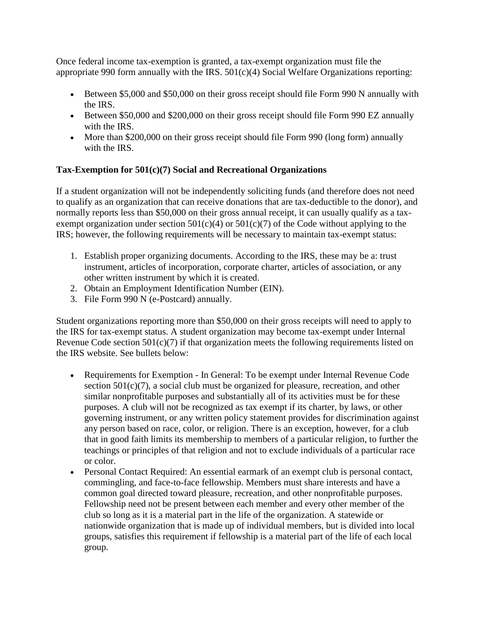Once federal income tax-exemption is granted, a tax-exempt organization must file the appropriate 990 form annually with the IRS.  $501(c)(4)$  Social Welfare Organizations reporting:

- Between \$5,000 and \$50,000 on their gross receipt should file Form 990 N annually with the IRS.
- Between \$50,000 and \$200,000 on their gross receipt should file Form 990 EZ annually with the IRS.
- More than \$200,000 on their gross receipt should file Form 990 (long form) annually with the IRS.

## **Tax-Exemption for 501(c)(7) Social and Recreational Organizations**

If a student organization will not be independently soliciting funds (and therefore does not need to qualify as an organization that can receive donations that are tax-deductible to the donor), and normally reports less than \$50,000 on their gross annual receipt, it can usually qualify as a taxexempt organization under section  $501(c)(4)$  or  $501(c)(7)$  of the Code without applying to the IRS; however, the following requirements will be necessary to maintain tax-exempt status:

- 1. Establish proper organizing documents. According to the IRS, these may be a: trust instrument, articles of incorporation, corporate charter, articles of association, or any other written instrument by which it is created.
- 2. Obtain an Employment Identification Number (EIN).
- 3. File Form 990 N (e-Postcard) annually.

Student organizations reporting more than \$50,000 on their gross receipts will need to apply to the IRS for tax-exempt status. A student organization may become tax-exempt under Internal Revenue Code section  $501(c)(7)$  if that organization meets the following requirements listed on the IRS website. See bullets below:

- Requirements for Exemption In General: To be exempt under Internal Revenue Code section 501(c)(7), a social club must be organized for pleasure, recreation, and other similar nonprofitable purposes and substantially all of its activities must be for these purposes. A club will not be recognized as tax exempt if its charter, by laws, or other governing instrument, or any written policy statement provides for discrimination against any person based on race, color, or religion. There is an exception, however, for a club that in good faith limits its membership to members of a particular religion, to further the teachings or principles of that religion and not to exclude individuals of a particular race or color.
- Personal Contact Required: An essential earmark of an exempt club is personal contact, commingling, and face-to-face fellowship. Members must share interests and have a common goal directed toward pleasure, recreation, and other nonprofitable purposes. Fellowship need not be present between each member and every other member of the club so long as it is a material part in the life of the organization. A statewide or nationwide organization that is made up of individual members, but is divided into local groups, satisfies this requirement if fellowship is a material part of the life of each local group.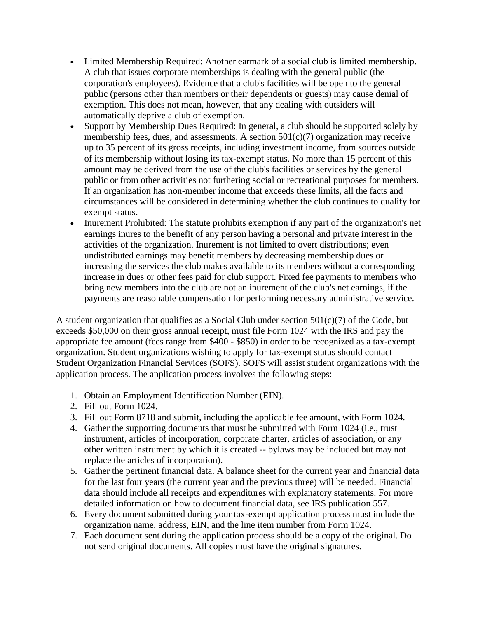- Limited Membership Required: Another earmark of a social club is limited membership. A club that issues corporate memberships is dealing with the general public (the corporation's employees). Evidence that a club's facilities will be open to the general public (persons other than members or their dependents or guests) may cause denial of exemption. This does not mean, however, that any dealing with outsiders will automatically deprive a club of exemption.
- Support by Membership Dues Required: In general, a club should be supported solely by membership fees, dues, and assessments. A section  $501(c)(7)$  organization may receive up to 35 percent of its gross receipts, including investment income, from sources outside of its membership without losing its tax-exempt status. No more than 15 percent of this amount may be derived from the use of the club's facilities or services by the general public or from other activities not furthering social or recreational purposes for members. If an organization has non-member income that exceeds these limits, all the facts and circumstances will be considered in determining whether the club continues to qualify for exempt status.
- Inurement Prohibited: The statute prohibits exemption if any part of the organization's net earnings inures to the benefit of any person having a personal and private interest in the activities of the organization. Inurement is not limited to overt distributions; even undistributed earnings may benefit members by decreasing membership dues or increasing the services the club makes available to its members without a corresponding increase in dues or other fees paid for club support. Fixed fee payments to members who bring new members into the club are not an inurement of the club's net earnings, if the payments are reasonable compensation for performing necessary administrative service.

A student organization that qualifies as a Social Club under section 501(c)(7) of the Code, but exceeds \$50,000 on their gross annual receipt, must file Form 1024 with the IRS and pay the appropriate fee amount (fees range from \$400 - \$850) in order to be recognized as a tax-exempt organization. Student organizations wishing to apply for tax-exempt status should contact Student Organization Financial Services (SOFS). SOFS will assist student organizations with the application process. The application process involves the following steps:

- 1. Obtain an Employment Identification Number (EIN).
- 2. Fill out Form 1024.
- 3. Fill out Form 8718 and submit, including the applicable fee amount, with Form 1024.
- 4. Gather the supporting documents that must be submitted with Form 1024 (i.e., trust instrument, articles of incorporation, corporate charter, articles of association, or any other written instrument by which it is created -- bylaws may be included but may not replace the articles of incorporation).
- 5. Gather the pertinent financial data. A balance sheet for the current year and financial data for the last four years (the current year and the previous three) will be needed. Financial data should include all receipts and expenditures with explanatory statements. For more detailed information on how to document financial data, see IRS publication 557.
- 6. Every document submitted during your tax-exempt application process must include the organization name, address, EIN, and the line item number from Form 1024.
- 7. Each document sent during the application process should be a copy of the original. Do not send original documents. All copies must have the original signatures.